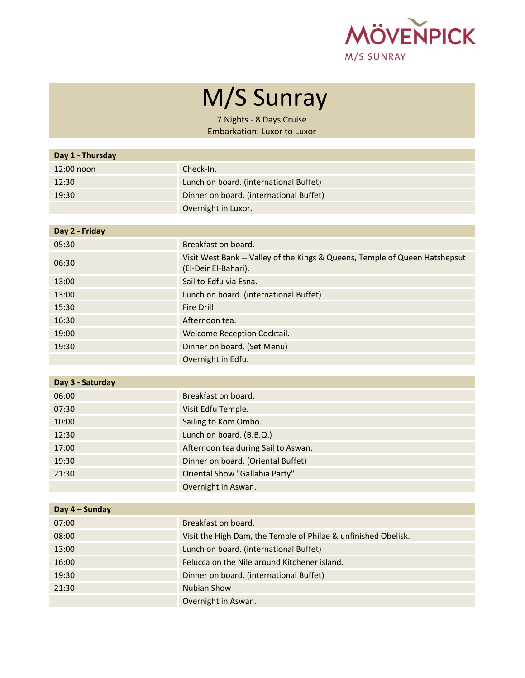

## M/S Sunray

7 Nights - 8 Days Cruise Embarkation: Luxor to Luxor

| Day 1 - Thursday |                                                                                                     |
|------------------|-----------------------------------------------------------------------------------------------------|
| 12:00 noon       | Check-In.                                                                                           |
| 12:30            | Lunch on board. (international Buffet)                                                              |
| 19:30            | Dinner on board. (international Buffet)                                                             |
|                  | Overnight in Luxor.                                                                                 |
|                  |                                                                                                     |
| Day 2 - Friday   |                                                                                                     |
| 05:30            | Breakfast on board.                                                                                 |
| 06:30            | Visit West Bank -- Valley of the Kings & Queens, Temple of Queen Hatshepsut<br>(El-Deir El-Bahari). |
| 13:00            | Sail to Edfu via Esna.                                                                              |
| 13:00            | Lunch on board. (international Buffet)                                                              |
| 15:30            | <b>Fire Drill</b>                                                                                   |
| 16:30            | Afternoon tea.                                                                                      |
| 19:00            | Welcome Reception Cocktail.                                                                         |
| 19:30            | Dinner on board. (Set Menu)                                                                         |
|                  | Overnight in Edfu.                                                                                  |
|                  |                                                                                                     |
| Day 3 - Saturday |                                                                                                     |
| 06:00            | Breakfast on board.                                                                                 |
| 07:30            | Visit Edfu Temple.                                                                                  |
| 10:00            | Sailing to Kom Ombo.                                                                                |
| 12:30            | Lunch on board. (B.B.Q.)                                                                            |
| 17:00            | Afternoon tea during Sail to Aswan.                                                                 |
| 19:30            | Dinner on board. (Oriental Buffet)                                                                  |
| 21:30            | Oriental Show "Gallabia Party".                                                                     |
|                  | Overnight in Aswan.                                                                                 |
| Day 4 - Sunday   |                                                                                                     |
| 07:00            | Breakfast on board.                                                                                 |
| 08:00            | Visit the High Dam, the Temple of Philae & unfinished Obelisk.                                      |
| 13:00            | Lunch on board. (international Buffet)                                                              |
| 16:00            | Felucca on the Nile around Kitchener island.                                                        |
| 19:30            | Dinner on board. (international Buffet)                                                             |
| 21:30            | <b>Nubian Show</b>                                                                                  |
|                  | Overnight in Aswan.                                                                                 |